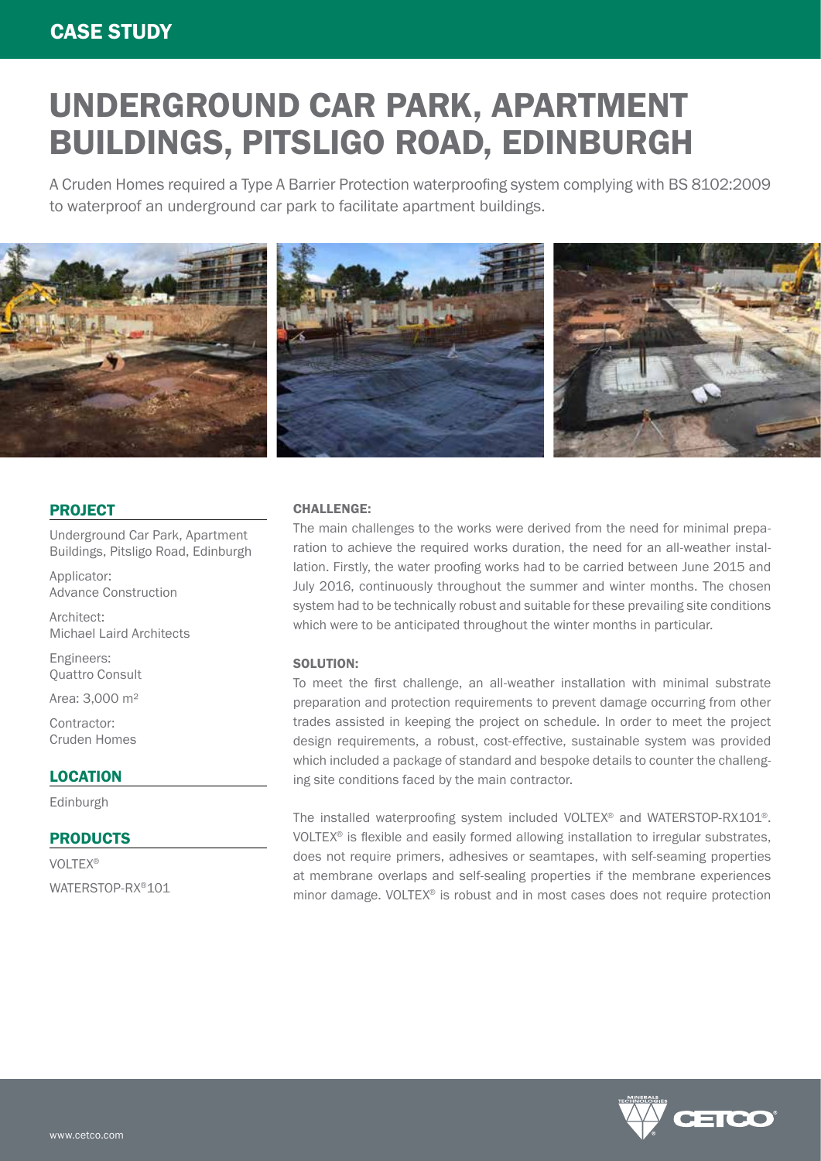# UNDERGROUND CAR PARK, APARTMENT BUILDINGS, PITSLIGO ROAD, EDINBURGH

A Cruden Homes required a Type A Barrier Protection waterproofing system complying with BS 8102:2009 to waterproof an underground car park to facilitate apartment buildings.



### PROJECT

Underground Car Park, Apartment Buildings, Pitsligo Road, Edinburgh

Applicator: Advance Construction

Architect: Michael Laird Architects

Engineers: Quattro Consult

Area: 3,000 m²

Contractor: Cruden Homes

# **LOCATION**

Edinburgh

# PRODUCTS

VOLTEX® WATERSTOP-RX®101

#### CHALLENGE:

The main challenges to the works were derived from the need for minimal preparation to achieve the required works duration, the need for an all-weather installation. Firstly, the water proofing works had to be carried between June 2015 and July 2016, continuously throughout the summer and winter months. The chosen system had to be technically robust and suitable for these prevailing site conditions which were to be anticipated throughout the winter months in particular.

#### SOLUTION:

To meet the first challenge, an all-weather installation with minimal substrate preparation and protection requirements to prevent damage occurring from other trades assisted in keeping the project on schedule. In order to meet the project design requirements, a robust, cost-effective, sustainable system was provided which included a package of standard and bespoke details to counter the challenging site conditions faced by the main contractor.

The installed waterproofing system included VOLTEX® and WATERSTOP-RX101®. VOLTEX® is flexible and easily formed allowing installation to irregular substrates, does not require primers, adhesives or seamtapes, with self-seaming properties at membrane overlaps and self-sealing properties if the membrane experiences minor damage. VOLTEX® is robust and in most cases does not require protection